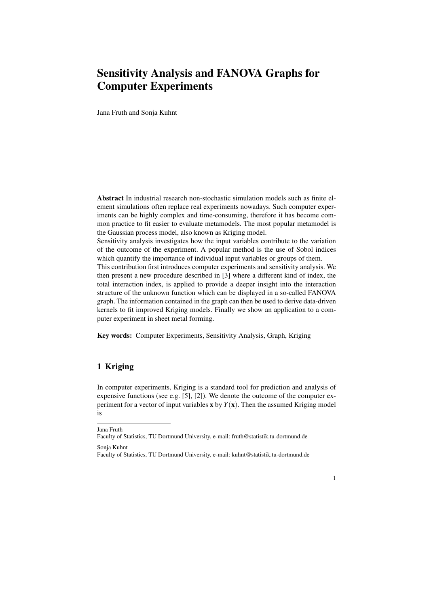# Sensitivity Analysis and FANOVA Graphs for Computer Experiments

Jana Fruth and Sonja Kuhnt

Abstract In industrial research non-stochastic simulation models such as finite element simulations often replace real experiments nowadays. Such computer experiments can be highly complex and time-consuming, therefore it has become common practice to fit easier to evaluate metamodels. The most popular metamodel is the Gaussian process model, also known as Kriging model.

Sensitivity analysis investigates how the input variables contribute to the variation of the outcome of the experiment. A popular method is the use of Sobol indices which quantify the importance of individual input variables or groups of them.

This contribution first introduces computer experiments and sensitivity analysis. We then present a new procedure described in [3] where a different kind of index, the total interaction index, is applied to provide a deeper insight into the interaction structure of the unknown function which can be displayed in a so-called FANOVA graph. The information contained in the graph can then be used to derive data-driven kernels to fit improved Kriging models. Finally we show an application to a computer experiment in sheet metal forming.

Key words: Computer Experiments, Sensitivity Analysis, Graph, Kriging

## 1 Kriging

In computer experiments, Kriging is a standard tool for prediction and analysis of expensive functions (see e.g. [5], [2]). We denote the outcome of the computer experiment for a vector of input variables  $x$  by  $Y(x)$ . Then the assumed Kriging model is

Faculty of Statistics, TU Dortmund University, e-mail: kuhnt@statistik.tu-dortmund.de



Jana Fruth

Faculty of Statistics, TU Dortmund University, e-mail: fruth@statistik.tu-dortmund.de

Sonja Kuhnt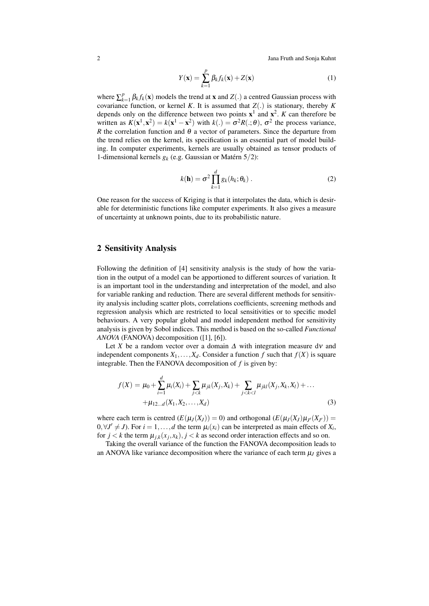2 Jana Fruth and Sonja Kuhnt

$$
Y(\mathbf{x}) = \sum_{k=1}^{p} \beta_k f_k(\mathbf{x}) + Z(\mathbf{x})
$$
\n(1)

where  $\sum_{k}^{p}$  $\int_{k=1}^{p} \beta_k f_k(\mathbf{x})$  models the trend at **x** and *Z*(*.*) a centred Gaussian process with covariance function, or kernel *K*. It is assumed that  $Z(.)$  is stationary, thereby *K* depends only on the difference between two points  $x^1$  and  $x^2$ . *K* can therefore be written as  $K(\mathbf{x}^1, \mathbf{x}^2) = k(\mathbf{x}^1 - \mathbf{x}^2)$  with  $k(.) = \sigma^2 R(.;\theta)$ ,  $\sigma^2$  the process variance, *R* the correlation function and  $\theta$  a vector of parameters. Since the departure from the trend relies on the kernel, its specification is an essential part of model building. In computer experiments, kernels are usually obtained as tensor products of 1-dimensional kernels  $g_k$  (e.g. Gaussian or Matérn 5/2):

$$
k(\mathbf{h}) = \sigma^2 \prod_{k=1}^d g_k(h_k; \theta_k).
$$
 (2)

One reason for the success of Kriging is that it interpolates the data, which is desirable for deterministic functions like computer experiments. It also gives a measure of uncertainty at unknown points, due to its probabilistic nature.

#### 2 Sensitivity Analysis

Following the definition of [4] sensitivity analysis is the study of how the variation in the output of a model can be apportioned to different sources of variation. It is an important tool in the understanding and interpretation of the model, and also for variable ranking and reduction. There are several different methods for sensitivity analysis including scatter plots, correlations coefficients, screening methods and regression analysis which are restricted to local sensitivities or to specific model behaviours. A very popular global and model independent method for sensitivity analysis is given by Sobol indices. This method is based on the so-called *Functional ANOVA* (FANOVA) decomposition ([1], [6]).

Let *X* be a random vector over a domain  $\Delta$  with integration measure dv and independent components  $X_1, \ldots, X_d$ . Consider a function f such that  $f(X)$  is square integrable. Then the FANOVA decomposition of *f* is given by:

$$
f(X) = \mu_0 + \sum_{i=1}^d \mu_i(X_i) + \sum_{j < k} \mu_{jk}(X_j, X_k) + \sum_{j < k < l} \mu_{jkl}(X_j, X_k, X_l) + \dots + \mu_{12 \dots d}(X_1, X_2, \dots, X_d)
$$
\n
$$
(3)
$$

where each term is centred  $(E(\mu_J(X_J))) = 0$  and orthogonal  $(E(\mu_J(X_J))\mu_{J'}(X_{J'})) = 0$  $0, \forall J' \neq J$ ). For *i* = 1,...,*d* the term  $\mu_i(x_i)$  can be interpreted as main effects of  $X_i$ , for  $j < k$  the term  $\mu_{j,k}(x_j, x_k)$ ,  $j < k$  as second order interaction effects and so on.

Taking the overall variance of the function the FANOVA decomposition leads to an ANOVA like variance decomposition where the variance of each term  $\mu$ <sub>*J*</sub> gives a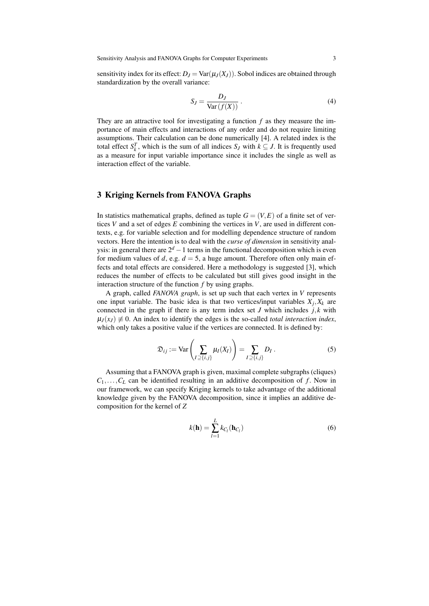Sensitivity Analysis and FANOVA Graphs for Computer Experiments 3

sensitivity index for its effect:  $D_J = \text{Var}(\mu_J(X_J))$ . Sobol indices are obtained through standardization by the overall variance:

$$
S_J = \frac{D_J}{\text{Var}(f(X))} \,. \tag{4}
$$

They are an attractive tool for investigating a function *f* as they measure the importance of main effects and interactions of any order and do not require limiting assumptions. Their calculation can be done numerically [4]. A related index is the total effect  $S_k^T$ , which is the sum of all indices  $S_J$  with  $k \subseteq J$ . It is frequently used as a measure for input variable importance since it includes the single as well as interaction effect of the variable.

#### 3 Kriging Kernels from FANOVA Graphs

In statistics mathematical graphs, defined as tuple  $G = (V, E)$  of a finite set of vertices *V* and a set of edges *E* combining the vertices in *V*, are used in different contexts, e.g. for variable selection and for modelling dependence structure of random vectors. Here the intention is to deal with the *curse of dimension* in sensitivity analysis: in general there are  $2^d - 1$  terms in the functional decomposition which is even for medium values of *d*, e.g.  $d = 5$ , a huge amount. Therefore often only main effects and total effects are considered. Here a methodology is suggested [3], which reduces the number of effects to be calculated but still gives good insight in the interaction structure of the function *f* by using graphs.

A graph, called *FANOVA graph*, is set up such that each vertex in *V* represents one input variable. The basic idea is that two vertices/input variables  $X_j, X_k$  are connected in the graph if there is any term index set  $J$  which includes  $j, k$  with  $\mu_J(x_J) \neq 0$ . An index to identify the edges is the so-called *total interaction index*, which only takes a positive value if the vertices are connected. It is defined by:

$$
\mathfrak{D}_{ij} := \text{Var}\left(\sum_{I \supseteq \{i,j\}} \mu_I(X_I)\right) = \sum_{I \supseteq \{i,j\}} D_I \,. \tag{5}
$$

Assuming that a FANOVA graph is given, maximal complete subgraphs (cliques)  $C_1, \ldots, C_L$  can be identified resulting in an additive decomposition of *f*. Now in our framework, we can specify Kriging kernels to take advantage of the additional knowledge given by the FANOVA decomposition, since it implies an additive decomposition for the kernel of *Z*

$$
k(\mathbf{h}) = \sum_{l=1}^{L} k_{C_l}(\mathbf{h}_{C_l})
$$
\n(6)